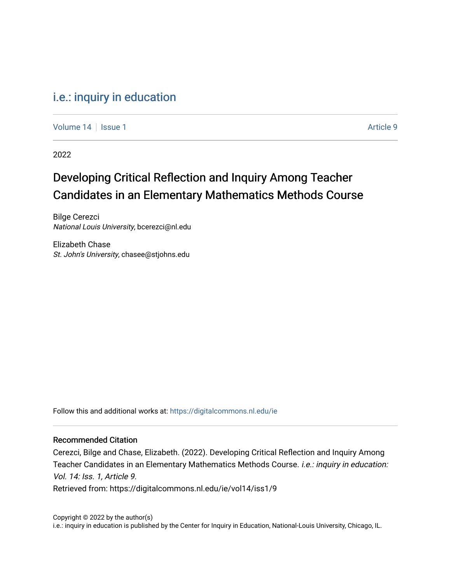### [i.e.: inquiry in education](https://digitalcommons.nl.edu/ie)

[Volume 14](https://digitalcommons.nl.edu/ie/vol14) Suitsue 1 Article 9

2022

## Developing Critical Reflection and Inquiry Among Teacher Candidates in an Elementary Mathematics Methods Course

Bilge Cerezci National Louis University, bcerezci@nl.edu

Elizabeth Chase St. John's University, chasee@stjohns.edu

Follow this and additional works at: [https://digitalcommons.nl.edu/ie](https://digitalcommons.nl.edu/ie?utm_source=digitalcommons.nl.edu%2Fie%2Fvol14%2Fiss1%2F9&utm_medium=PDF&utm_campaign=PDFCoverPages) 

#### Recommended Citation

Cerezci, Bilge and Chase, Elizabeth. (2022). Developing Critical Reflection and Inquiry Among Teacher Candidates in an Elementary Mathematics Methods Course. i.e.: inquiry in education: Vol. 14: Iss. 1, Article 9. Retrieved from: https://digitalcommons.nl.edu/ie/vol14/iss1/9

Copyright © 2022 by the author(s) i.e.: inquiry in education is published by the Center for Inquiry in Education, National-Louis University, Chicago, IL.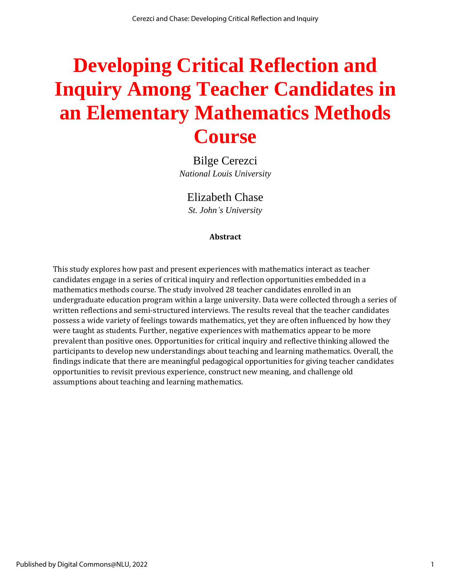# **Developing Critical Reflection and Inquiry Among Teacher Candidates in an Elementary Mathematics Methods Course**

Bilge Cerezci *National Louis University*

Elizabeth Chase *St. John's University*

#### **Abstract**

This study explores how past and present experiences with mathematics interact as teacher candidates engage in a series of critical inquiry and reflection opportunities embedded in a mathematics methods course. The study involved 28 teacher candidates enrolled in an undergraduate education program within a large university. Data were collected through a series of written reflections and semi-structured interviews. The results reveal that the teacher candidates possess a wide variety of feelings towards mathematics, yet they are often influenced by how they were taught as students. Further, negative experiences with mathematics appear to be more prevalent than positive ones. Opportunities for critical inquiry and reflective thinking allowed the participants to develop new understandings about teaching and learning mathematics. Overall, the findings indicate that there are meaningful pedagogical opportunities for giving teacher candidates opportunities to revisit previous experience, construct new meaning, and challenge old assumptions about teaching and learning mathematics.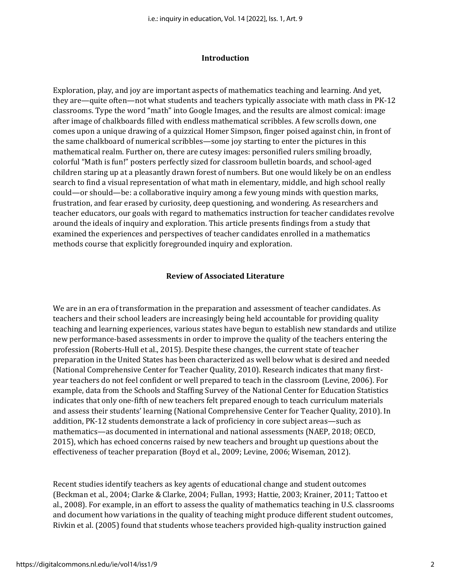#### **Introduction**

Exploration, play, and joy are important aspects of mathematics teaching and learning. And yet, they are—quite often—not what students and teachers typically associate with math class in PK-12 classrooms. Type the word "math" into Google Images, and the results are almost comical: image after image of chalkboards filled with endless mathematical scribbles. A few scrolls down, one comes upon a unique drawing of a quizzical Homer Simpson, finger poised against chin, in front of the same chalkboard of numerical scribbles—some joy starting to enter the pictures in this mathematical realm. Further on, there are cutesy images: personified rulers smiling broadly, colorful "Math is fun!" posters perfectly sized for classroom bulletin boards, and school-aged children staring up at a pleasantly drawn forest of numbers. But one would likely be on an endless search to find a visual representation of what math in elementary, middle, and high school really could—or should—be: a collaborative inquiry among a few young minds with question marks, frustration, and fear erased by curiosity, deep questioning, and wondering. As researchers and teacher educators, our goals with regard to mathematics instruction for teacher candidates revolve around the ideals of inquiry and exploration. This article presents findings from a study that examined the experiences and perspectives of teacher candidates enrolled in a mathematics methods course that explicitly foregrounded inquiry and exploration.

#### **Review of Associated Literature**

We are in an era of transformation in the preparation and assessment of teacher candidates. As teachers and their school leaders are increasingly being held accountable for providing quality teaching and learning experiences, various states have begun to establish new standards and utilize new performance-based assessments in order to improve the quality of the teachers entering the profession (Roberts-Hull et al., 2015). Despite these changes, the current state of teacher preparation in the United States has been characterized as well below what is desired and needed (National Comprehensive Center for Teacher Quality, 2010). Research indicates that many firstyear teachers do not feel confident or well prepared to teach in the classroom (Levine, 2006). For example, data from the Schools and Staffing Survey of the National Center for Education Statistics indicates that only one-fifth of new teachers felt prepared enough to teach curriculum materials and assess their students' learning (National Comprehensive Center for Teacher Quality, 2010). In addition, PK-12 students demonstrate a lack of proficiency in core subject areas—such as mathematics—as documented in international and national assessments (NAEP, 2018; OECD, 2015), which has echoed concerns raised by new teachers and brought up questions about the effectiveness of teacher preparation (Boyd et al., 2009; Levine, 2006; Wiseman, 2012).

Recent studies identify teachers as key agents of educational change and student outcomes (Beckman et al., 2004; Clarke & Clarke, 2004; Fullan, 1993; Hattie, 2003; Krainer, 2011; Tattoo et al., 2008). For example, in an effort to assess the quality of mathematics teaching in U.S. classrooms and document how variations in the quality of teaching might produce different student outcomes, Rivkin et al. (2005) found that students whose teachers provided high-quality instruction gained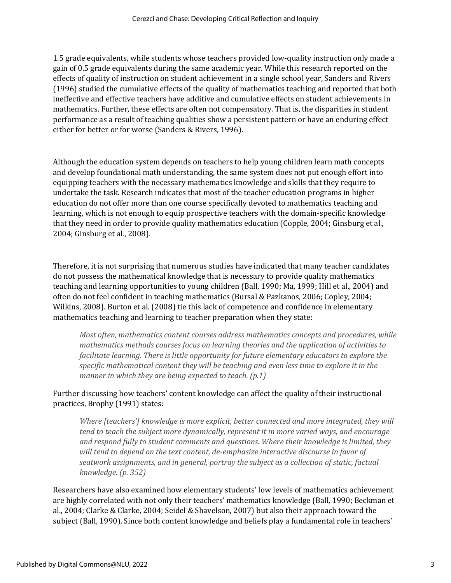1.5 grade equivalents, while students whose teachers provided low-quality instruction only made a gain of 0.5 grade equivalents during the same academic year. While this research reported on the effects of quality of instruction on student achievement in a single school year, Sanders and Rivers (1996) studied the cumulative effects of the quality of mathematics teaching and reported that both ineffective and effective teachers have additive and cumulative effects on student achievements in mathematics. Further, these effects are often not compensatory. That is, the disparities in student performance as a result of teaching qualities show a persistent pattern or have an enduring effect either for better or for worse (Sanders & Rivers, 1996).

Although the education system depends on teachers to help young children learn math concepts and develop foundational math understanding, the same system does not put enough effort into equipping teachers with the necessary mathematics knowledge and skills that they require to undertake the task. Research indicates that most of the teacher education programs in higher education do not offer more than one course specifically devoted to mathematics teaching and learning, which is not enough to equip prospective teachers with the domain-specific knowledge that they need in order to provide quality mathematics education (Copple, 2004; Ginsburg et al., 2004; Ginsburg et al., 2008).

Therefore, it is not surprising that numerous studies have indicated that many teacher candidates do not possess the mathematical knowledge that is necessary to provide quality mathematics teaching and learning opportunities to young children (Ball, 1990; Ma, 1999; Hill et al., 2004) and often do not feel confident in teaching mathematics (Bursal & Pazkanos, 2006; Copley, 2004; Wilkins, 2008). Burton et al. (2008) tie this lack of competence and confidence in elementary mathematics teaching and learning to teacher preparation when they state:

*Most often, mathematics content courses address mathematics concepts and procedures, while mathematics methods courses focus on learning theories and the application of activities to facilitate learning. There is little opportunity for future elementary educators to explore the specific mathematical content they will be teaching and even less time to explore it in the manner in which they are being expected to teach. (p.1)*

Further discussing how teachers' content knowledge can affect the quality of their instructional practices, Brophy (1991) states:

*Where [teachers'] knowledge is more explicit, better connected and more integrated, they will tend to teach the subject more dynamically, represent it in more varied ways, and encourage and respond fully to student comments and questions. Where their knowledge is limited, they will tend to depend on the text content, de-emphasize interactive discourse in favor of seatwork assignments, and in general, portray the subject as a collection of static, factual knowledge. (p. 352)*

Researchers have also examined how elementary students' low levels of mathematics achievement are highly correlated with not only their teachers' mathematics knowledge (Ball, 1990; Beckman et al., 2004; Clarke & Clarke, 2004; Seidel & Shavelson, 2007) but also their approach toward the subject (Ball, 1990). Since both content knowledge and beliefs play a fundamental role in teachers'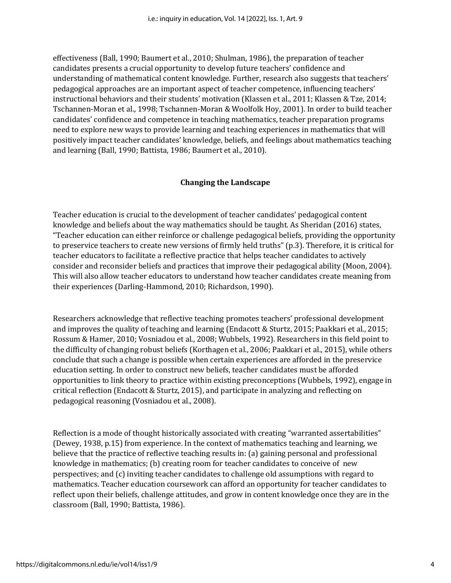effectiveness (Ball, 1990; Baumert et al., 2010; Shulman, 1986), the preparation of teacher candidates presents a crucial opportunity to develop future teachers' confidence and understanding of mathematical content knowledge. Further, research also suggests that teachers' pedagogical approaches are an important aspect of teacher competence, influencing teachers' instructional behaviors and their students' motivation (Klassen et al., 2011; Klassen & Tze, 2014; Tschannen-Moran et al., 1998; Tschannen-Moran & Woolfolk Hoy, 2001). In order to build teacher candidates' confidence and competence in teaching mathematics, teacher preparation programs need to explore new ways to provide learning and teaching experiences in mathematics that will positively impact teacher candidates' knowledge, beliefs, and feelings about mathematics teaching and learning (Ball, 1990; Battista, 1986; Baumert et al., 2010).

#### **Changing the Landscape**

Teacher education is crucial to the development of teacher candidates' pedagogical content knowledge and beliefs about the way mathematics should be taught. As Sheridan (2016) states, "Teacher education can either reinforce or challenge pedagogical beliefs, providing the opportunity to preservice teachers to create new versions of firmly held truths" (p.3). Therefore, it is critical for teacher educators to facilitate a reflective practice that helps teacher candidates to actively consider and reconsider beliefs and practices that improve their pedagogical ability (Moon, 2004). This will also allow teacher educators to understand how teacher candidates create meaning from their experiences (Darling-Hammond, 2010; Richardson, 1990).

Researchers acknowledge that reflective teaching promotes teachers' professional development and improves the quality of teaching and learning (Endacott & Sturtz, 2015; Paakkari et al., 2015; Rossum & Hamer, 2010; Vosniadou et al., 2008; Wubbels, 1992). Researchers in this field point to the difficulty of changing robust beliefs (Korthagen et al., 2006; Paakkari et al., 2015), while others conclude that such a change is possible when certain experiences are afforded in the preservice education setting. In order to construct new beliefs, teacher candidates must be afforded opportunities to link theory to practice within existing preconceptions (Wubbels, 1992), engage in critical reflection (Endacott & Sturtz, 2015), and participate in analyzing and reflecting on pedagogical reasoning (Vosniadou et al., 2008).

Reflection is a mode of thought historically associated with creating "warranted assertabilities" (Dewey, 1938, p.15) from experience. In the context of mathematics teaching and learning, we believe that the practice of reflective teaching results in: (a) gaining personal and professional knowledge in mathematics; (b) creating room for teacher candidates to conceive of new perspectives; and (c) inviting teacher candidates to challenge old assumptions with regard to mathematics. Teacher education coursework can afford an opportunity for teacher candidates to reflect upon their beliefs, challenge attitudes, and grow in content knowledge once they are in the classroom (Ball, 1990; Battista, 1986).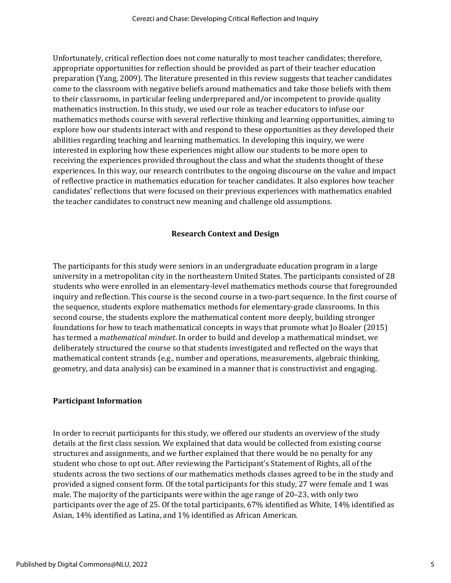Unfortunately, critical reflection does not come naturally to most teacher candidates; therefore, appropriate opportunities for reflection should be provided as part of their teacher education preparation (Yang, 2009). The literature presented in this review suggests that teacher candidates come to the classroom with negative beliefs around mathematics and take those beliefs with them to their classrooms, in particular feeling underprepared and/or incompetent to provide quality mathematics instruction. In this study, we used our role as teacher educators to infuse our mathematics methods course with several reflective thinking and learning opportunities, aiming to explore how our students interact with and respond to these opportunities as they developed their abilities regarding teaching and learning mathematics. In developing this inquiry, we were interested in exploring how these experiences might allow our students to be more open to receiving the experiences provided throughout the class and what the students thought of these experiences. In this way, our research contributes to the ongoing discourse on the value and impact of reflective practice in mathematics education for teacher candidates. It also explores how teacher candidates' reflections that were focused on their previous experiences with mathematics enabled the teacher candidates to construct new meaning and challenge old assumptions.

#### **Research Context and Design**

The participants for this study were seniors in an undergraduate education program in a large university in a metropolitan city in the northeastern United States. The participants consisted of 28 students who were enrolled in an elementary-level mathematics methods course that foregrounded inquiry and reflection. This course is the second course in a two-part sequence. In the first course of the sequence, students explore mathematics methods for elementary-grade classrooms. In this second course, the students explore the mathematical content more deeply, building stronger foundations for how to teach mathematical concepts in ways that promote what Jo Boaler (2015) has termed a *mathematical mindset*. In order to build and develop a mathematical mindset, we deliberately structured the course so that students investigated and reflected on the ways that mathematical content strands (e.g., number and operations, measurements, algebraic thinking, geometry, and data analysis) can be examined in a manner that is constructivist and engaging.

#### **Participant Information**

In order to recruit participants for this study, we offered our students an overview of the study details at the first class session. We explained that data would be collected from existing course structures and assignments, and we further explained that there would be no penalty for any student who chose to opt out. After reviewing the Participant's Statement of Rights, all of the students across the two sections of our mathematics methods classes agreed to be in the study and provided a signed consent form. Of the total participants for this study, 27 were female and 1 was male. The majority of the participants were within the age range of 20–23, with only two participants over the age of 25. Of the total participants, 67% identified as White, 14% identified as Asian, 14% identified as Latina, and 1% identified as African American.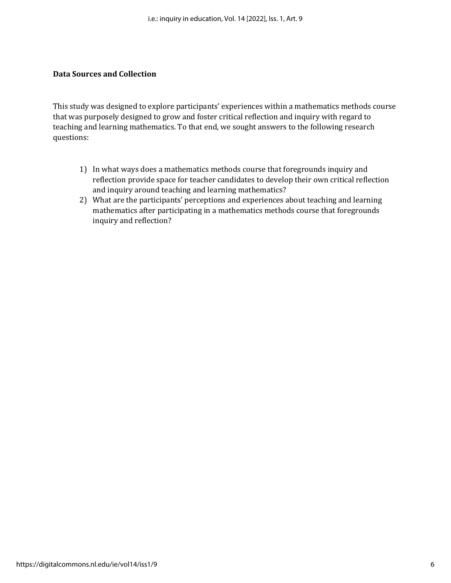#### **Data Sources and Collection**

This study was designed to explore participants' experiences within a mathematics methods course that was purposely designed to grow and foster critical reflection and inquiry with regard to teaching and learning mathematics. To that end, we sought answers to the following research questions:

- 1) In what ways does a mathematics methods course that foregrounds inquiry and reflection provide space for teacher candidates to develop their own critical reflection and inquiry around teaching and learning mathematics?
- 2) What are the participants' perceptions and experiences about teaching and learning mathematics after participating in a mathematics methods course that foregrounds inquiry and reflection?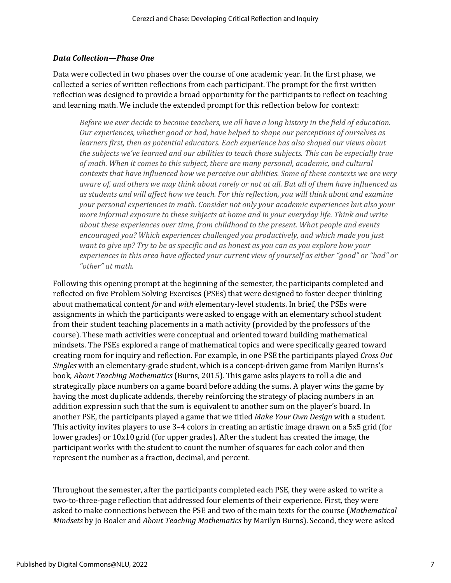#### *Data Collection—Phase One*

Data were collected in two phases over the course of one academic year. In the first phase, we collected a series of written reflections from each participant. The prompt for the first written reflection was designed to provide a broad opportunity for the participants to reflect on teaching and learning math. We include the extended prompt for this reflection below for context:

*Before we ever decide to become teachers, we all have a long history in the field of education. Our experiences, whether good or bad, have helped to shape our perceptions of ourselves as learners first, then as potential educators. Each experience has also shaped our views about the subjects we've learned and our abilities to teach those subjects. This can be especially true of math. When it comes to this subject, there are many personal, academic, and cultural contexts that have influenced how we perceive our abilities. Some of these contexts we are very aware of, and others we may think about rarely or not at all. But all of them have influenced us as students and will affect how we teach. For this reflection, you will think about and examine your personal experiences in math. Consider not only your academic experiences but also your more informal exposure to these subjects at home and in your everyday life. Think and write about these experiences over time, from childhood to the present. What people and events encouraged you? Which experiences challenged you productively, and which made you just want to give up? Try to be as specific and as honest as you can as you explore how your experiences in this area have affected your current view of yourself as either "good" or "bad" or "other" at math.*

Following this opening prompt at the beginning of the semester, the participants completed and reflected on five Problem Solving Exercises (PSEs) that were designed to foster deeper thinking about mathematical content *for* and *with* elementary-level students. In brief, the PSEs were assignments in which the participants were asked to engage with an elementary school student from their student teaching placements in a math activity (provided by the professors of the course). These math activities were conceptual and oriented toward building mathematical mindsets. The PSEs explored a range of mathematical topics and were specifically geared toward creating room for inquiry and reflection. For example, in one PSE the participants played *Cross Out Singles* with an elementary-grade student, which is a concept-driven game from Marilyn Burns's book, *About Teaching Mathematics* (Burns, 2015). This game asks players to roll a die and strategically place numbers on a game board before adding the sums. A player wins the game by having the most duplicate addends, thereby reinforcing the strategy of placing numbers in an addition expression such that the sum is equivalent to another sum on the player's board. In another PSE, the participants played a game that we titled *Make Your Own Design* with a student. This activity invites players to use 3–4 colors in creating an artistic image drawn on a 5x5 grid (for lower grades) or 10x10 grid (for upper grades). After the student has created the image, the participant works with the student to count the number of squares for each color and then represent the number as a fraction, decimal, and percent.

Throughout the semester, after the participants completed each PSE, they were asked to write a two-to-three-page reflection that addressed four elements of their experience. First, they were asked to make connections between the PSE and two of the main texts for the course (*Mathematical Mindsets* by Jo Boaler and *About Teaching Mathematics* by Marilyn Burns). Second, they were asked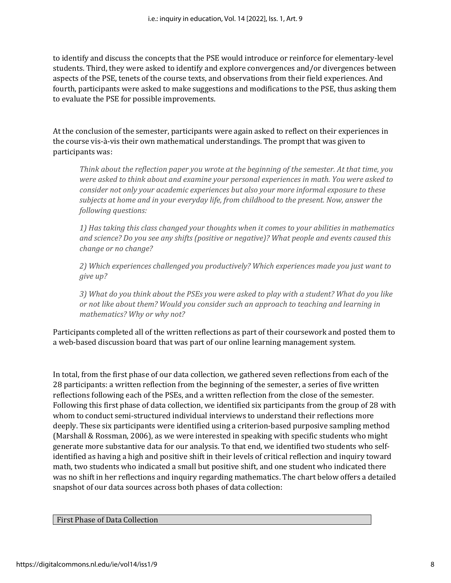to identify and discuss the concepts that the PSE would introduce or reinforce for elementary-level students. Third, they were asked to identify and explore convergences and/or divergences between aspects of the PSE, tenets of the course texts, and observations from their field experiences. And fourth, participants were asked to make suggestions and modifications to the PSE, thus asking them to evaluate the PSE for possible improvements.

At the conclusion of the semester, participants were again asked to reflect on their experiences in the course vis-à-vis their own mathematical understandings. The prompt that was given to participants was:

*Think about the reflection paper you wrote at the beginning of the semester. At that time, you were asked to think about and examine your personal experiences in math. You were asked to consider not only your academic experiences but also your more informal exposure to these subjects at home and in your everyday life, from childhood to the present. Now, answer the following questions:*

*1) Has taking this class changed your thoughts when it comes to your abilities in mathematics and science? Do you see any shifts (positive or negative)? What people and events caused this change or no change?*

*2) Which experiences challenged you productively? Which experiences made you just want to give up?*

*3) What do you think about the PSEs you were asked to play with a student? What do you like or not like about them? Would you consider such an approach to teaching and learning in mathematics? Why or why not?*

Participants completed all of the written reflections as part of their coursework and posted them to a web-based discussion board that was part of our online learning management system.

In total, from the first phase of our data collection, we gathered seven reflections from each of the 28 participants: a written reflection from the beginning of the semester, a series of five written reflections following each of the PSEs, and a written reflection from the close of the semester. Following this first phase of data collection, we identified six participants from the group of 28 with whom to conduct semi-structured individual interviews to understand their reflections more deeply. These six participants were identified using a criterion-based purposive sampling method (Marshall & Rossman, 2006), as we were interested in speaking with specific students who might generate more substantive data for our analysis. To that end, we identified two students who selfidentified as having a high and positive shift in their levels of critical reflection and inquiry toward math, two students who indicated a small but positive shift, and one student who indicated there was no shift in her reflections and inquiry regarding mathematics. The chart below offers a detailed snapshot of our data sources across both phases of data collection:

#### First Phase of Data Collection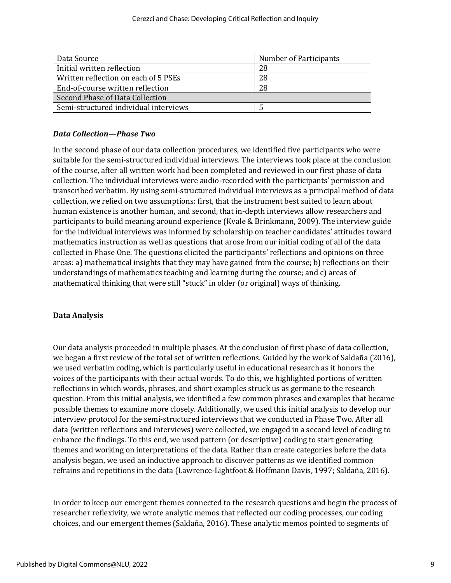| Data Source                           | Number of Participants |
|---------------------------------------|------------------------|
| Initial written reflection            | 28                     |
| Written reflection on each of 5 PSEs  | 28                     |
| End-of-course written reflection      | 28                     |
| Second Phase of Data Collection       |                        |
| Semi-structured individual interviews |                        |

#### *Data Collection—Phase Two*

In the second phase of our data collection procedures, we identified five participants who were suitable for the semi-structured individual interviews. The interviews took place at the conclusion of the course, after all written work had been completed and reviewed in our first phase of data collection. The individual interviews were audio-recorded with the participants' permission and transcribed verbatim. By using semi-structured individual interviews as a principal method of data collection, we relied on two assumptions: first, that the instrument best suited to learn about human existence is another human, and second, that in-depth interviews allow researchers and participants to build meaning around experience (Kvale & Brinkmann, 2009). The interview guide for the individual interviews was informed by scholarship on teacher candidates' attitudes toward mathematics instruction as well as questions that arose from our initial coding of all of the data collected in Phase One. The questions elicited the participants' reflections and opinions on three areas: a) mathematical insights that they may have gained from the course; b) reflections on their understandings of mathematics teaching and learning during the course; and c) areas of mathematical thinking that were still "stuck" in older (or original) ways of thinking.

#### **Data Analysis**

Our data analysis proceeded in multiple phases. At the conclusion of first phase of data collection, we began a first review of the total set of written reflections. Guided by the work of Saldaña (2016), we used verbatim coding, which is particularly useful in educational research as it honors the voices of the participants with their actual words. To do this, we highlighted portions of written reflections in which words, phrases, and short examples struck us as germane to the research question. From this initial analysis, we identified a few common phrases and examples that became possible themes to examine more closely. Additionally, we used this initial analysis to develop our interview protocol for the semi-structured interviews that we conducted in Phase Two. After all data (written reflections and interviews) were collected, we engaged in a second level of coding to enhance the findings. To this end, we used pattern (or descriptive) coding to start generating themes and working on interpretations of the data. Rather than create categories before the data analysis began, we used an inductive approach to discover patterns as we identified common refrains and repetitions in the data (Lawrence-Lightfoot & Hoffmann Davis, 1997; Saldaña, 2016).

In order to keep our emergent themes connected to the research questions and begin the process of researcher reflexivity, we wrote analytic memos that reflected our coding processes, our coding choices, and our emergent themes (Saldaña, 2016). These analytic memos pointed to segments of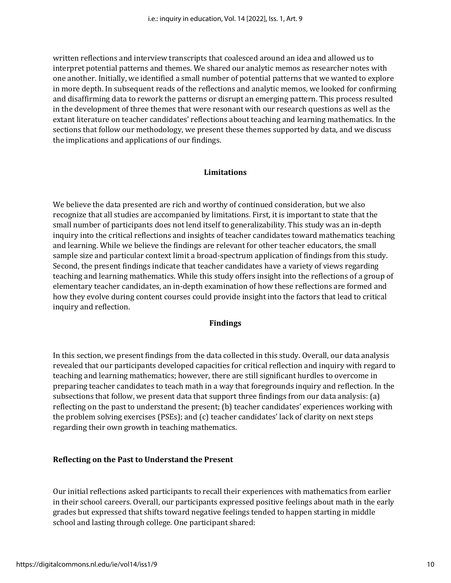written reflections and interview transcripts that coalesced around an idea and allowed us to interpret potential patterns and themes. We shared our analytic memos as researcher notes with one another. Initially, we identified a small number of potential patterns that we wanted to explore in more depth. In subsequent reads of the reflections and analytic memos, we looked for confirming and disaffirming data to rework the patterns or disrupt an emerging pattern. This process resulted in the development of three themes that were resonant with our research questions as well as the extant literature on teacher candidates' reflections about teaching and learning mathematics. In the sections that follow our methodology, we present these themes supported by data, and we discuss the implications and applications of our findings.

#### **Limitations**

We believe the data presented are rich and worthy of continued consideration, but we also recognize that all studies are accompanied by limitations. First, it is important to state that the small number of participants does not lend itself to generalizability. This study was an in-depth inquiry into the critical reflections and insights of teacher candidates toward mathematics teaching and learning. While we believe the findings are relevant for other teacher educators, the small sample size and particular context limit a broad-spectrum application of findings from this study. Second, the present findings indicate that teacher candidates have a variety of views regarding teaching and learning mathematics. While this study offers insight into the reflections of a group of elementary teacher candidates, an in-depth examination of how these reflections are formed and how they evolve during content courses could provide insight into the factors that lead to critical inquiry and reflection.

#### **Findings**

In this section, we present findings from the data collected in this study. Overall, our data analysis revealed that our participants developed capacities for critical reflection and inquiry with regard to teaching and learning mathematics; however, there are still significant hurdles to overcome in preparing teacher candidates to teach math in a way that foregrounds inquiry and reflection. In the subsections that follow, we present data that support three findings from our data analysis: (a) reflecting on the past to understand the present; (b) teacher candidates' experiences working with the problem solving exercises (PSEs); and (c) teacher candidates' lack of clarity on next steps regarding their own growth in teaching mathematics.

#### **Reflecting on the Past to Understand the Present**

Our initial reflections asked participants to recall their experiences with mathematics from earlier in their school careers. Overall, our participants expressed positive feelings about math in the early grades but expressed that shifts toward negative feelings tended to happen starting in middle school and lasting through college. One participant shared: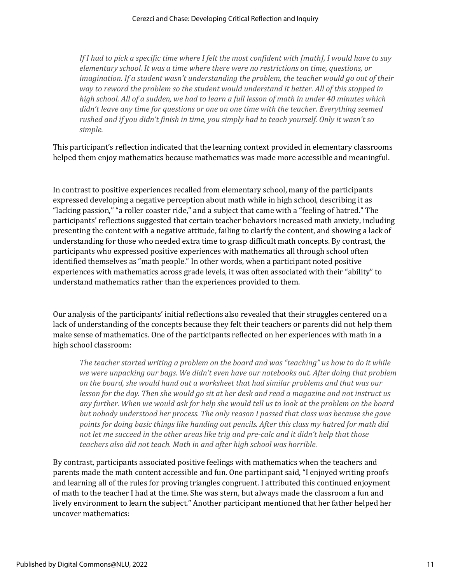*If I had to pick a specific time where I felt the most confident with [math], I would have to say elementary school. It was a time where there were no restrictions on time, questions, or imagination. If a student wasn't understanding the problem, the teacher would go out of their way to reword the problem so the student would understand it better. All of this stopped in high school. All of a sudden, we had to learn a full lesson of math in under 40 minutes which didn't leave any time for questions or one on one time with the teacher. Everything seemed rushed and if you didn't finish in time, you simply had to teach yourself. Only it wasn't so simple.*

This participant's reflection indicated that the learning context provided in elementary classrooms helped them enjoy mathematics because mathematics was made more accessible and meaningful.

In contrast to positive experiences recalled from elementary school, many of the participants expressed developing a negative perception about math while in high school, describing it as "lacking passion," "a roller coaster ride," and a subject that came with a "feeling of hatred." The participants' reflections suggested that certain teacher behaviors increased math anxiety, including presenting the content with a negative attitude, failing to clarify the content, and showing a lack of understanding for those who needed extra time to grasp difficult math concepts. By contrast, the participants who expressed positive experiences with mathematics all through school often identified themselves as "math people." In other words, when a participant noted positive experiences with mathematics across grade levels, it was often associated with their "ability" to understand mathematics rather than the experiences provided to them.

Our analysis of the participants' initial reflections also revealed that their struggles centered on a lack of understanding of the concepts because they felt their teachers or parents did not help them make sense of mathematics. One of the participants reflected on her experiences with math in a high school classroom:

*The teacher started writing a problem on the board and was "teaching" us how to do it while we were unpacking our bags. We didn't even have our notebooks out. After doing that problem on the board, she would hand out a worksheet that had similar problems and that was our lesson for the day. Then she would go sit at her desk and read a magazine and not instruct us any further. When we would ask for help she would tell us to look at the problem on the board but nobody understood her process. The only reason I passed that class was because she gave points for doing basic things like handing out pencils. After this class my hatred for math did not let me succeed in the other areas like trig and pre-calc and it didn't help that those teachers also did not teach. Math in and after high school was horrible.*

By contrast, participants associated positive feelings with mathematics when the teachers and parents made the math content accessible and fun. One participant said, "I enjoyed writing proofs and learning all of the rules for proving triangles congruent. I attributed this continued enjoyment of math to the teacher I had at the time. She was stern, but always made the classroom a fun and lively environment to learn the subject." Another participant mentioned that her father helped her uncover mathematics: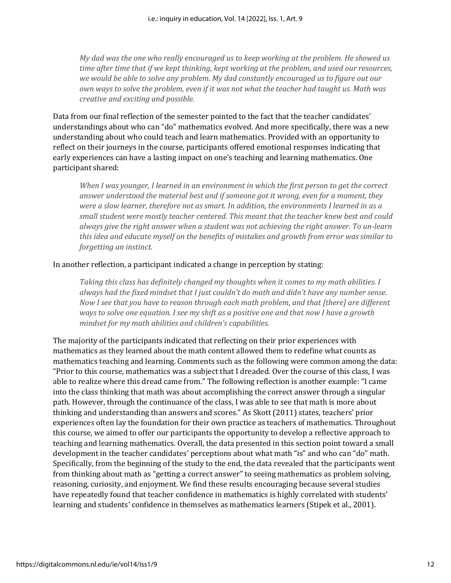*My dad was the one who really encouraged us to keep working at the problem. He showed us time after time that if we kept thinking, kept working at the problem, and used our resources, we would be able to solve any problem. My dad constantly encouraged us to figure out our own ways to solve the problem, even if it was not what the teacher had taught us. Math was creative and exciting and possible.*

Data from our final reflection of the semester pointed to the fact that the teacher candidates' understandings about who can "do" mathematics evolved. And more specifically, there was a new understanding about who could teach and learn mathematics. Provided with an opportunity to reflect on their journeys in the course, participants offered emotional responses indicating that early experiences can have a lasting impact on one's teaching and learning mathematics. One participant shared:

*When I was younger, I learned in an environment in which the first person to get the correct answer understood the material best and if someone got it wrong, even for a moment, they were a slow learner, therefore not as smart. In addition, the environments I learned in as a small student were mostly teacher centered. This meant that the teacher knew best and could always give the right answer when a student was not achieving the right answer. To un-learn this idea and educate myself on the benefits of mistakes and growth from error was similar to forgetting an instinct.*

#### In another reflection, a participant indicated a change in perception by stating:

*Taking this class has definitely changed my thoughts when it comes to my math abilities. I always had the fixed mindset that I just couldn't do math and didn't have any number sense. Now I see that you have to reason through each math problem, and that [there] are different ways to solve one equation. I see my shift as a positive one and that now I have a growth mindset for my math abilities and children's capabilities.*

The majority of the participants indicated that reflecting on their prior experiences with mathematics as they learned about the math content allowed them to redefine what counts as mathematics teaching and learning. Comments such as the following were common among the data: "Prior to this course, mathematics was a subject that I dreaded. Over the course of this class, I was able to realize where this dread came from." The following reflection is another example: "I came into the class thinking that math was about accomplishing the correct answer through a singular path. However, through the continuance of the class, I was able to see that math is more about thinking and understanding than answers and scores." As Skott (2011) states, teachers' prior experiences often lay the foundation for their own practice as teachers of mathematics. Throughout this course, we aimed to offer our participants the opportunity to develop a reflective approach to teaching and learning mathematics. Overall, the data presented in this section point toward a small development in the teacher candidates' perceptions about what math "is" and who can "do" math. Specifically, from the beginning of the study to the end, the data revealed that the participants went from thinking about math as "getting a correct answer" to seeing mathematics as problem solving, reasoning, curiosity, and enjoyment. We find these results encouraging because several studies have repeatedly found that teacher confidence in mathematics is highly correlated with students' learning and students' confidence in themselves as mathematics learners (Stipek et al., 2001).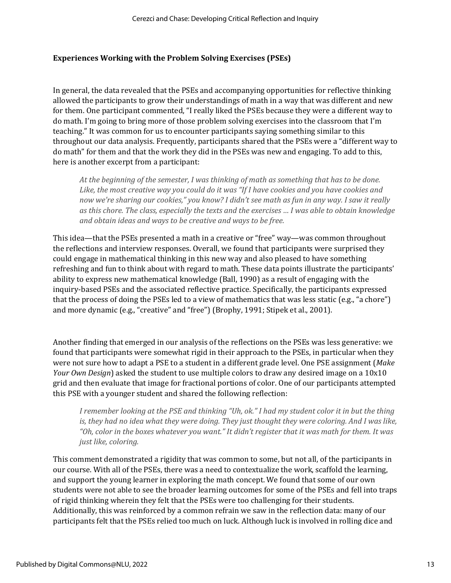#### **Experiences Working with the Problem Solving Exercises (PSEs)**

In general, the data revealed that the PSEs and accompanying opportunities for reflective thinking allowed the participants to grow their understandings of math in a way that was different and new for them. One participant commented, "I really liked the PSEs because they were a different way to do math. I'm going to bring more of those problem solving exercises into the classroom that I'm teaching." It was common for us to encounter participants saying something similar to this throughout our data analysis. Frequently, participants shared that the PSEs were a "different way to do math" for them and that the work they did in the PSEs was new and engaging. To add to this, here is another excerpt from a participant:

*At the beginning of the semester, I was thinking of math as something that has to be done. Like, the most creative way you could do it was "If I have cookies and you have cookies and now we're sharing our cookies," you know? I didn't see math as fun in any way. I saw it really as this chore. The class, especially the texts and the exercises … I was able to obtain knowledge and obtain ideas and ways to be creative and ways to be free.*

This idea—that the PSEs presented a math in a creative or "free" way—was common throughout the reflections and interview responses. Overall, we found that participants were surprised they could engage in mathematical thinking in this new way and also pleased to have something refreshing and fun to think about with regard to math. These data points illustrate the participants' ability to express new mathematical knowledge (Ball, 1990) as a result of engaging with the inquiry-based PSEs and the associated reflective practice. Specifically, the participants expressed that the process of doing the PSEs led to a view of mathematics that was less static (e.g., "a chore") and more dynamic (e.g., "creative" and "free") (Brophy, 1991; Stipek et al., 2001).

Another finding that emerged in our analysis of the reflections on the PSEs was less generative: we found that participants were somewhat rigid in their approach to the PSEs, in particular when they were not sure how to adapt a PSE to a student in a different grade level. One PSE assignment (*Make Your Own Design*) asked the student to use multiple colors to draw any desired image on a 10x10 grid and then evaluate that image for fractional portions of color. One of our participants attempted this PSE with a younger student and shared the following reflection:

*I remember looking at the PSE and thinking "Uh, ok." I had my student color it in but the thing*  is, they had no idea what they were doing. They just thought they were coloring. And I was like, *"Oh, color in the boxes whatever you want." It didn't register that it was math for them. It was just like, coloring.* 

This comment demonstrated a rigidity that was common to some, but not all, of the participants in our course. With all of the PSEs, there was a need to contextualize the work, scaffold the learning, and support the young learner in exploring the math concept. We found that some of our own students were not able to see the broader learning outcomes for some of the PSEs and fell into traps of rigid thinking wherein they felt that the PSEs were too challenging for their students. Additionally, this was reinforced by a common refrain we saw in the reflection data: many of our participants felt that the PSEs relied too much on luck. Although luck is involved in rolling dice and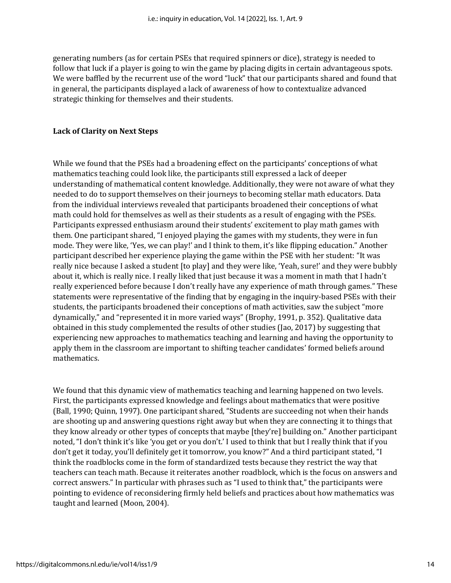generating numbers (as for certain PSEs that required spinners or dice), strategy is needed to follow that luck if a player is going to win the game by placing digits in certain advantageous spots. We were baffled by the recurrent use of the word "luck" that our participants shared and found that in general, the participants displayed a lack of awareness of how to contextualize advanced strategic thinking for themselves and their students.

#### **Lack of Clarity on Next Steps**

While we found that the PSEs had a broadening effect on the participants' conceptions of what mathematics teaching could look like, the participants still expressed a lack of deeper understanding of mathematical content knowledge. Additionally, they were not aware of what they needed to do to support themselves on their journeys to becoming stellar math educators. Data from the individual interviews revealed that participants broadened their conceptions of what math could hold for themselves as well as their students as a result of engaging with the PSEs. Participants expressed enthusiasm around their students' excitement to play math games with them. One participant shared, "I enjoyed playing the games with my students, they were in fun mode. They were like, 'Yes, we can play!' and I think to them, it's like flipping education." Another participant described her experience playing the game within the PSE with her student: "It was really nice because I asked a student [to play] and they were like, 'Yeah, sure!' and they were bubbly about it, which is really nice. I really liked that just because it was a moment in math that I hadn't really experienced before because I don't really have any experience of math through games." These statements were representative of the finding that by engaging in the inquiry-based PSEs with their students, the participants broadened their conceptions of math activities, saw the subject "more dynamically," and "represented it in more varied ways" (Brophy, 1991, p. 352). Qualitative data obtained in this study complemented the results of other studies (Jao, 2017) by suggesting that experiencing new approaches to mathematics teaching and learning and having the opportunity to apply them in the classroom are important to shifting teacher candidates' formed beliefs around mathematics.

We found that this dynamic view of mathematics teaching and learning happened on two levels. First, the participants expressed knowledge and feelings about mathematics that were positive (Ball, 1990; Quinn, 1997). One participant shared, "Students are succeeding not when their hands are shooting up and answering questions right away but when they are connecting it to things that they know already or other types of concepts that maybe [they're] building on." Another participant noted, "I don't think it's like 'you get or you don't.' I used to think that but I really think that if you don't get it today, you'll definitely get it tomorrow, you know?" And a third participant stated, "I think the roadblocks come in the form of standardized tests because they restrict the way that teachers can teach math. Because it reiterates another roadblock, which is the focus on answers and correct answers." In particular with phrases such as "I used to think that," the participants were pointing to evidence of reconsidering firmly held beliefs and practices about how mathematics was taught and learned (Moon, 2004).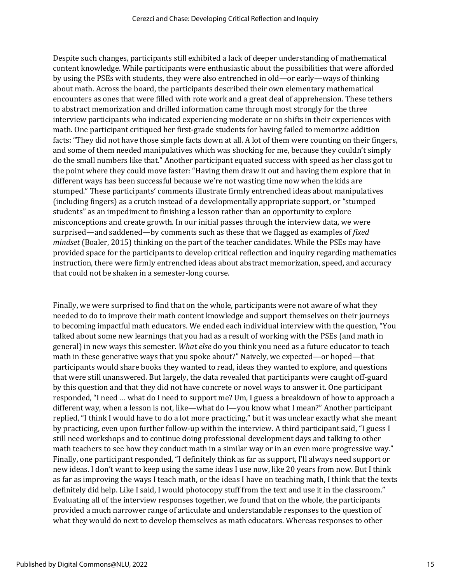Despite such changes, participants still exhibited a lack of deeper understanding of mathematical content knowledge. While participants were enthusiastic about the possibilities that were afforded by using the PSEs with students, they were also entrenched in old—or early—ways of thinking about math. Across the board, the participants described their own elementary mathematical encounters as ones that were filled with rote work and a great deal of apprehension. These tethers to abstract memorization and drilled information came through most strongly for the three interview participants who indicated experiencing moderate or no shifts in their experiences with math. One participant critiqued her first-grade students for having failed to memorize addition facts: "They did not have those simple facts down at all. A lot of them were counting on their fingers, and some of them needed manipulatives which was shocking for me, because they couldn't simply do the small numbers like that." Another participant equated success with speed as her class got to the point where they could move faster: "Having them draw it out and having them explore that in different ways has been successful because we're not wasting time now when the kids are stumped." These participants' comments illustrate firmly entrenched ideas about manipulatives (including fingers) as a crutch instead of a developmentally appropriate support, or "stumped students" as an impediment to finishing a lesson rather than an opportunity to explore misconceptions and create growth. In our initial passes through the interview data, we were surprised—and saddened—by comments such as these that we flagged as examples of *fixed mindset* (Boaler, 2015) thinking on the part of the teacher candidates. While the PSEs may have provided space for the participants to develop critical reflection and inquiry regarding mathematics instruction, there were firmly entrenched ideas about abstract memorization, speed, and accuracy that could not be shaken in a semester-long course.

Finally, we were surprised to find that on the whole, participants were not aware of what they needed to do to improve their math content knowledge and support themselves on their journeys to becoming impactful math educators. We ended each individual interview with the question, "You talked about some new learnings that you had as a result of working with the PSEs (and math in general) in new ways this semester. *What else* do you think you need as a future educator to teach math in these generative ways that you spoke about?" Naively, we expected—or hoped—that participants would share books they wanted to read, ideas they wanted to explore, and questions that were still unanswered. But largely, the data revealed that participants were caught off-guard by this question and that they did not have concrete or novel ways to answer it. One participant responded, "I need … what do I need to support me? Um, I guess a breakdown of how to approach a different way, when a lesson is not, like—what do I—you know what I mean?" Another participant replied, "I think I would have to do a lot more practicing," but it was unclear exactly what she meant by practicing, even upon further follow-up within the interview. A third participant said, "I guess I still need workshops and to continue doing professional development days and talking to other math teachers to see how they conduct math in a similar way or in an even more progressive way." Finally, one participant responded, "I definitely think as far as support, I'll always need support or new ideas. I don't want to keep using the same ideas I use now, like 20 years from now. But I think as far as improving the ways I teach math, or the ideas I have on teaching math, I think that the texts definitely did help. Like I said, I would photocopy stuff from the text and use it in the classroom." Evaluating all of the interview responses together, we found that on the whole, the participants provided a much narrower range of articulate and understandable responses to the question of what they would do next to develop themselves as math educators. Whereas responses to other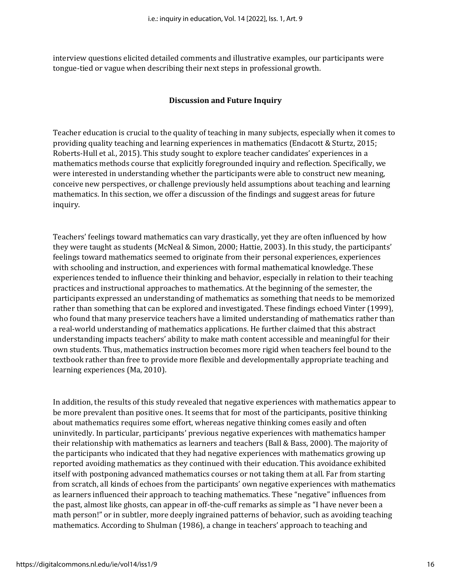interview questions elicited detailed comments and illustrative examples, our participants were tongue-tied or vague when describing their next steps in professional growth.

#### **Discussion and Future Inquiry**

Teacher education is crucial to the quality of teaching in many subjects, especially when it comes to providing quality teaching and learning experiences in mathematics (Endacott & Sturtz, 2015; Roberts-Hull et al., 2015). This study sought to explore teacher candidates' experiences in a mathematics methods course that explicitly foregrounded inquiry and reflection. Specifically, we were interested in understanding whether the participants were able to construct new meaning, conceive new perspectives, or challenge previously held assumptions about teaching and learning mathematics. In this section, we offer a discussion of the findings and suggest areas for future inquiry.

Teachers' feelings toward mathematics can vary drastically, yet they are often influenced by how they were taught as students (McNeal & Simon, 2000; Hattie, 2003). In this study, the participants' feelings toward mathematics seemed to originate from their personal experiences, experiences with schooling and instruction, and experiences with formal mathematical knowledge. These experiences tended to influence their thinking and behavior, especially in relation to their teaching practices and instructional approaches to mathematics. At the beginning of the semester, the participants expressed an understanding of mathematics as something that needs to be memorized rather than something that can be explored and investigated. These findings echoed Vinter (1999), who found that many preservice teachers have a limited understanding of mathematics rather than a real-world understanding of mathematics applications. He further claimed that this abstract understanding impacts teachers' ability to make math content accessible and meaningful for their own students. Thus, mathematics instruction becomes more rigid when teachers feel bound to the textbook rather than free to provide more flexible and developmentally appropriate teaching and learning experiences (Ma, 2010).

In addition, the results of this study revealed that negative experiences with mathematics appear to be more prevalent than positive ones. It seems that for most of the participants, positive thinking about mathematics requires some effort, whereas negative thinking comes easily and often uninvitedly. In particular, participants' previous negative experiences with mathematics hamper their relationship with mathematics as learners and teachers (Ball & Bass, 2000). The majority of the participants who indicated that they had negative experiences with mathematics growing up reported avoiding mathematics as they continued with their education. This avoidance exhibited itself with postponing advanced mathematics courses or not taking them at all. Far from starting from scratch, all kinds of echoes from the participants' own negative experiences with mathematics as learners influenced their approach to teaching mathematics. These "negative" influences from the past, almost like ghosts, can appear in off-the-cuff remarks as simple as "I have never been a math person!" or in subtler, more deeply ingrained patterns of behavior, such as avoiding teaching mathematics. According to Shulman (1986), a change in teachers' approach to teaching and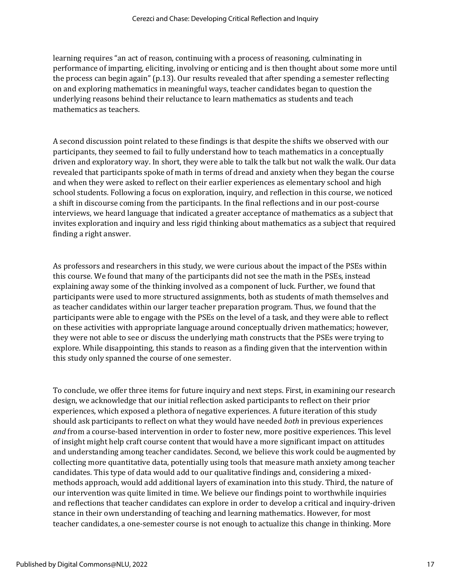learning requires "an act of reason, continuing with a process of reasoning, culminating in performance of imparting, eliciting, involving or enticing and is then thought about some more until the process can begin again" (p.13). Our results revealed that after spending a semester reflecting on and exploring mathematics in meaningful ways, teacher candidates began to question the underlying reasons behind their reluctance to learn mathematics as students and teach mathematics as teachers.

A second discussion point related to these findings is that despite the shifts we observed with our participants, they seemed to fail to fully understand how to teach mathematics in a conceptually driven and exploratory way. In short, they were able to talk the talk but not walk the walk. Our data revealed that participants spoke of math in terms of dread and anxiety when they began the course and when they were asked to reflect on their earlier experiences as elementary school and high school students. Following a focus on exploration, inquiry, and reflection in this course, we noticed a shift in discourse coming from the participants. In the final reflections and in our post-course interviews, we heard language that indicated a greater acceptance of mathematics as a subject that invites exploration and inquiry and less rigid thinking about mathematics as a subject that required finding a right answer.

As professors and researchers in this study, we were curious about the impact of the PSEs within this course. We found that many of the participants did not see the math in the PSEs, instead explaining away some of the thinking involved as a component of luck. Further, we found that participants were used to more structured assignments, both as students of math themselves and as teacher candidates within our larger teacher preparation program. Thus, we found that the participants were able to engage with the PSEs on the level of a task, and they were able to reflect on these activities with appropriate language around conceptually driven mathematics; however, they were not able to see or discuss the underlying math constructs that the PSEs were trying to explore. While disappointing, this stands to reason as a finding given that the intervention within this study only spanned the course of one semester.

To conclude, we offer three items for future inquiry and next steps. First, in examining our research design, we acknowledge that our initial reflection asked participants to reflect on their prior experiences, which exposed a plethora of negative experiences. A future iteration of this study should ask participants to reflect on what they would have needed *both* in previous experiences *and* from a course-based intervention in order to foster new, more positive experiences. This level of insight might help craft course content that would have a more significant impact on attitudes and understanding among teacher candidates. Second, we believe this work could be augmented by collecting more quantitative data, potentially using tools that measure math anxiety among teacher candidates. This type of data would add to our qualitative findings and, considering a mixedmethods approach, would add additional layers of examination into this study. Third, the nature of our intervention was quite limited in time. We believe our findings point to worthwhile inquiries and reflections that teacher candidates can explore in order to develop a critical and inquiry-driven stance in their own understanding of teaching and learning mathematics. However, for most teacher candidates, a one-semester course is not enough to actualize this change in thinking. More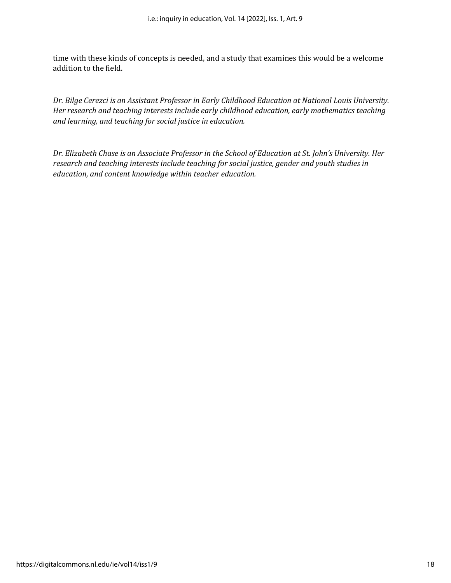time with these kinds of concepts is needed, and a study that examines this would be a welcome addition to the field.

*Dr. Bilge Cerezci is an Assistant Professor in Early Childhood Education at National Louis University. Her research and teaching interests include early childhood education, early mathematics teaching and learning, and teaching for social justice in education.*

*Dr. Elizabeth Chase is an Associate Professor in the School of Education at St. John's University. Her research and teaching interests include teaching for social justice, gender and youth studies in education, and content knowledge within teacher education.*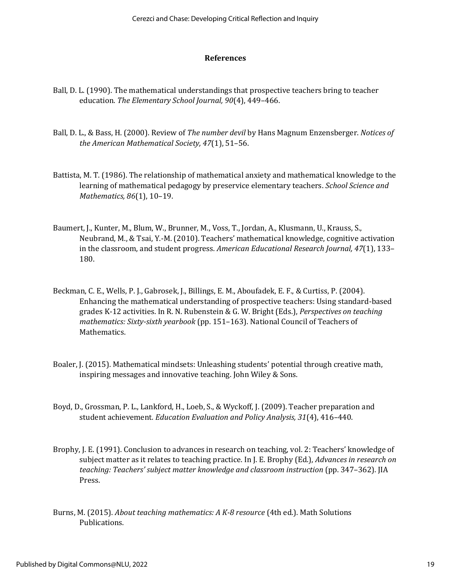#### **References**

- Ball, D. L. (1990). The mathematical understandings that prospective teachers bring to teacher education. *The Elementary School Journal, 90*(4), 449–466.
- Ball, D. L., & Bass, H. (2000). Review of *The number devil* by Hans Magnum Enzensberger. *Notices of the American Mathematical Society, 47*(1), 51–56.
- Battista, M. T. (1986). The relationship of mathematical anxiety and mathematical knowledge to the learning of mathematical pedagogy by preservice elementary teachers. *School Science and Mathematics, 86*(1), 10–19.
- Baumert, J., Kunter, M., Blum, W., Brunner, M., Voss, T., Jordan, A., Klusmann, U., Krauss, S., Neubrand, M., & Tsai, Y.-M. (2010). Teachers' mathematical knowledge, cognitive activation in the classroom, and student progress. *American Educational Research Journal, 47*(1), 133– 180.
- Beckman, C. E., Wells, P. J., Gabrosek, J., Billings, E. M., Aboufadek, E. F., & Curtiss, P. (2004). Enhancing the mathematical understanding of prospective teachers: Using standard-based grades K-12 activities. In R. N. Rubenstein & G. W. Bright (Eds.), *Perspectives on teaching mathematics: Sixty-sixth yearbook* (pp. 151–163). National Council of Teachers of Mathematics.
- Boaler, J. (2015). Mathematical mindsets: Unleashing students' potential through creative math, inspiring messages and innovative teaching. John Wiley & Sons.
- Boyd, D., Grossman, P. L., Lankford, H., Loeb, S., & Wyckoff, J. (2009). Teacher preparation and student achievement*. Education Evaluation and Policy Analysis, 31*(4), 416–440.
- Brophy, J. E. (1991). Conclusion to advances in research on teaching, vol. 2: Teachers' knowledge of subject matter as it relates to teaching practice. In J. E. Brophy (Ed.), *Advances in research on teaching: Teachers' subject matter knowledge and classroom instruction* (pp. 347–362). JIA Press.
- Burns, M. (2015). *About teaching mathematics: A K-8 resource* (4th ed.). Math Solutions Publications.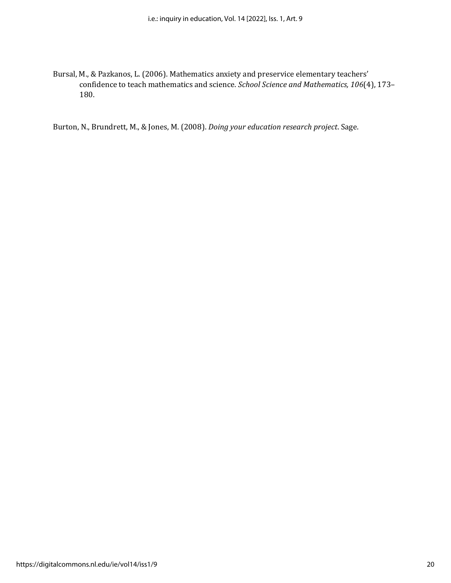Bursal, M., & Pazkanos, L. (2006). Mathematics anxiety and preservice elementary teachers' confidence to teach mathematics and science. *School Science and Mathematics, 106*(4), 173– 180.

Burton, N., Brundrett, M., & Jones, M. (2008). *Doing your education research project*. Sage.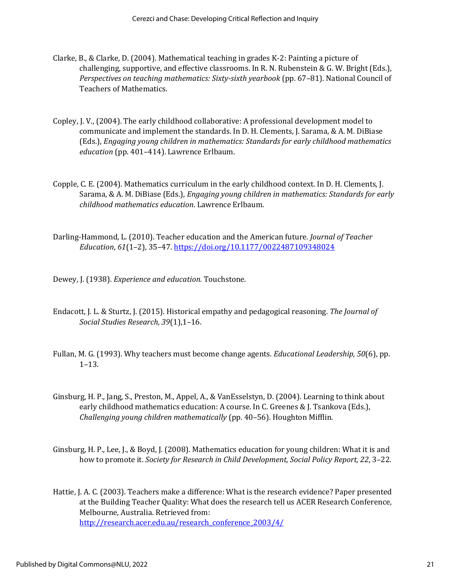- Clarke, B., & Clarke, D. (2004). Mathematical teaching in grades K-2: Painting a picture of challenging, supportive, and effective classrooms. In R. N. Rubenstein & G. W. Bright (Eds.), *Perspectives on teaching mathematics: Sixty-sixth yearbook* (pp. 67–81). National Council of Teachers of Mathematics.
- Copley, J. V., (2004). The early childhood collaborative: A professional development model to communicate and implement the standards. In D. H. Clements, J. Sarama, & A. M. DiBiase (Eds.), *Engaging young children in mathematics: Standards for early childhood mathematics education* (pp. 401–414). Lawrence Erlbaum.
- Copple, C. E. (2004). Mathematics curriculum in the early childhood context. In D. H. Clements, J. Sarama, & A. M. DiBiase (Eds.), *Engaging young children in mathematics: Standards for early childhood mathematics education*. Lawrence Erlbaum.
- Darling-Hammond, L. (2010). Teacher education and the American future. *Journal of Teacher Education*, *61*(1–2), 35–47.<https://doi.org/10.1177/0022487109348024>

Dewey, J. (1938). *Experience and education.* Touchstone.

- Endacott, J. L. & Sturtz, J. (2015). Historical empathy and pedagogical reasoning. *The Journal of Social Studies Research, 39*(1),1–16.
- Fullan, M. G. (1993). Why teachers must become change agents. *Educational Leadership, 50*(6), pp. 1–13.
- Ginsburg, H. P., Jang, S., Preston, M., Appel, A., & VanEsselstyn, D. (2004). Learning to think about early childhood mathematics education: A course. In C. Greenes & J. Tsankova (Eds.), *Challenging young children mathematically* (pp. 40–56). Houghton Mifflin.
- Ginsburg, H. P., Lee, J., & Boyd, J. (2008). Mathematics education for young children: What it is and how to promote it. *Society for Research in Child Development, Social Policy Report, 22*, 3–22.

Hattie, J. A. C. (2003). Teachers make a difference: What is the research evidence? Paper presented at the Building Teacher Quality: What does the research tell us ACER Research Conference, Melbourne, Australia. Retrieved from: [http://research.acer.edu.au/research\\_conference\\_2003/4/](http://research.acer.edu.au/research_conference_2003/4/)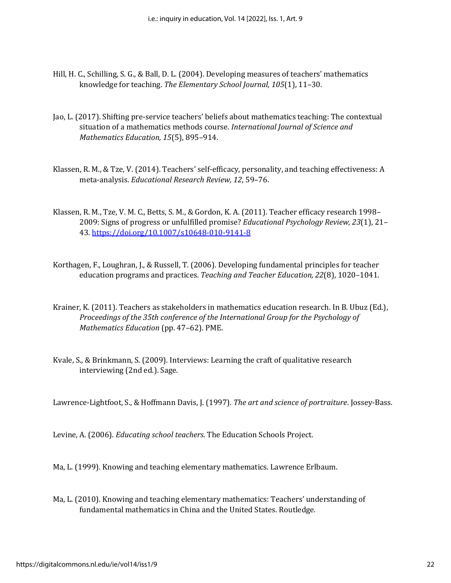- Hill, H. C., Schilling, S. G., & Ball, D. L. (2004). Developing measures of teachers' mathematics knowledge for teaching. *The Elementary School Journal, 105*(1), 11–30.
- Jao, L. (2017). Shifting pre-service teachers' beliefs about mathematics teaching: The contextual situation of a mathematics methods course. *International Journal of Science and Mathematics Education, 15*(5), 895–914.
- Klassen, R. M., & Tze, V. (2014). Teachers' self-efficacy, personality, and teaching effectiveness: A meta-analysis. *Educational Research Review, 12*, 59–76.
- Klassen, R. M., Tze, V. M. C., Betts, S. M., & Gordon, K. A. (2011). Teacher efficacy research 1998– 2009: Signs of progress or unfulfilled promise? *Educational Psychology Review, 23*(1), 21– 43.<https://doi.org/10.1007/s10648-010-9141-8>
- Korthagen, F., Loughran, J., & Russell, T. (2006). Developing fundamental principles for teacher education programs and practices. *Teaching and Teacher Education, 22*(8), 1020–1041.
- Krainer, K. (2011). Teachers as stakeholders in mathematics education research. In B. Ubuz (Ed.), *Proceedings of the 35th conference of the International Group for the Psychology of Mathematics Education* (pp. 47–62). PME.
- Kvale, S., & Brinkmann, S. (2009). Interviews: Learning the craft of qualitative research interviewing (2nd ed.). Sage.

Lawrence-Lightfoot, S., & Hoffmann Davis, J. (1997). *The art and science of portraiture*. Jossey-Bass.

Levine, A. (2006). *Educating school teachers*. The Education Schools Project.

Ma, L. (1999). Knowing and teaching elementary mathematics. Lawrence Erlbaum.

Ma, L. (2010). Knowing and teaching elementary mathematics: Teachers' understanding of fundamental mathematics in China and the United States. Routledge.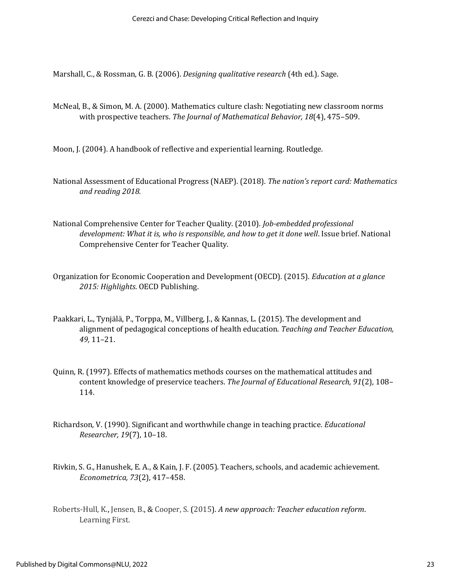Marshall, C., & Rossman, G. B. (2006). *Designing qualitative research* (4th ed.). Sage.

McNeal, B., & Simon, M. A. (2000). Mathematics culture clash: Negotiating new classroom norms with prospective teachers. *The Journal of Mathematical Behavior, 18*(4), 475–509.

Moon, J. (2004). A handbook of reflective and experiential learning. Routledge.

- National Assessment of Educational Progress (NAEP). (2018). *The nation's report card: Mathematics and reading 2018.*
- National Comprehensive Center for Teacher Quality. (2010). *Job-embedded professional development: What it is, who is responsible, and how to get it done well*. Issue brief. National Comprehensive Center for Teacher Quality.
- Organization for Economic Cooperation and Development (OECD). (2015). *Education at a glance 2015: Highlights*. OECD Publishing.
- Paakkari, L., Tynjälä, P., Torppa, M., Villberg, J., & Kannas, L. (2015). The development and alignment of pedagogical conceptions of health education. *Teaching and Teacher Education, 49,* 11–21.
- Quinn, R. (1997). Effects of mathematics methods courses on the mathematical attitudes and content knowledge of preservice teachers. *The Journal of Educational Research, 91*(2), 108– 114.
- Richardson, V. (1990). Significant and worthwhile change in teaching practice. *Educational Researcher, 19*(7), 10–18.
- Rivkin, S. G., Hanushek, E. A., & Kain, J. F. (2005). Teachers, schools, and academic achievement. *Econometrica, 73*(2), 417–458.
- Roberts-Hull, K., Jensen, B., & Cooper, S. (2015). *A new approach: Teacher education reform*. Learning First.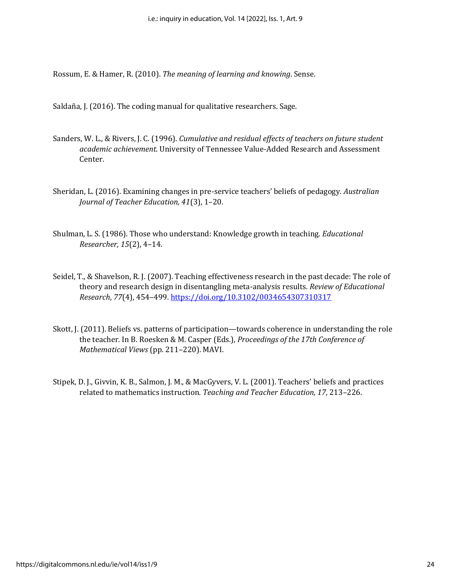Rossum, E. & Hamer, R. (2010). *The meaning of learning and knowing*. Sense.

Saldaña, J. (2016). The coding manual for qualitative researchers. Sage.

- Sanders, W. L., & Rivers, J. C. (1996). *Cumulative and residual effects of teachers on future student academic achievement*. University of Tennessee Value-Added Research and Assessment Center.
- Sheridan, L. (2016). Examining changes in pre-service teachers' beliefs of pedagogy. *Australian Journal of Teacher Education, 41*(3), 1–20.
- Shulman, L. S. (1986). Those who understand: Knowledge growth in teaching. *Educational Researcher, 15*(2), 4–14.
- Seidel, T., & Shavelson, R. J. (2007). Teaching effectiveness research in the past decade: The role of theory and research design in disentangling meta-analysis results. *Review of Educational Research*, *77*(4), 454–499.<https://doi.org/10.3102/0034654307310317>
- Skott, J. (2011). Beliefs vs. patterns of participation—towards coherence in understanding the role the teacher. In B. Roesken & M. Casper (Eds.), *Proceedings of the 17th Conference of Mathematical Views* (pp. 211–220). MAVI.
- Stipek, D. J., Givvin, K. B., Salmon, J. M., & MacGyvers, V. L. (2001). Teachers' beliefs and practices related to mathematics instruction. *Teaching and Teacher Education, 17*, 213–226.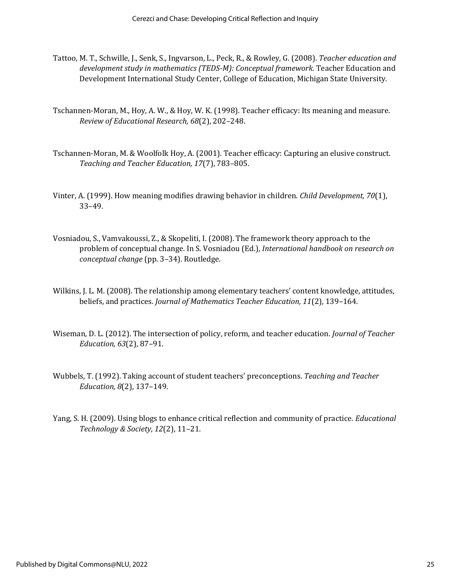- Tattoo, M. T., Schwille, J., Senk, S., Ingvarson, L., Peck, R., & Rowley, G. (2008). *Teacher education and development study in mathematics (TEDS-M): Conceptual framework.* Teacher Education and Development International Study Center, College of Education, Michigan State University.
- Tschannen-Moran, M., Hoy, A. W., & Hoy, W. K. (1998). Teacher efficacy: Its meaning and measure. *Review of Educational Research, 68*(2), 202–248.
- Tschannen-Moran, M. & Woolfolk Hoy, A. (2001). Teacher efficacy: Capturing an elusive construct. *Teaching and Teacher Education, 17*(7), 783–805.
- Vinter, A. (1999). How meaning modifies drawing behavior in children. *Child Development, 70*(1), 33–49.
- Vosniadou, S., Vamvakoussi, Z., & Skopeliti, I. (2008). The framework theory approach to the problem of conceptual change. In S. Vosniadou (Ed.), *International handbook on research on conceptual change* (pp. 3–34). Routledge.
- Wilkins, J. L. M. (2008). The relationship among elementary teachers' content knowledge, attitudes, beliefs, and practices. *Journal of Mathematics Teacher Education, 11*(2), 139–164.
- Wiseman, D. L. (2012). The intersection of policy, reform, and teacher education. *Journal of Teacher Education, 63*(2), 87–91.
- Wubbels, T. (1992). Taking account of student teachers' preconceptions. *Teaching and Teacher Education, 8*(2), 137–149.
- Yang, S. H. (2009). Using blogs to enhance critical reflection and community of practice. *Educational Technology & Society, 12*(2), 11–21.